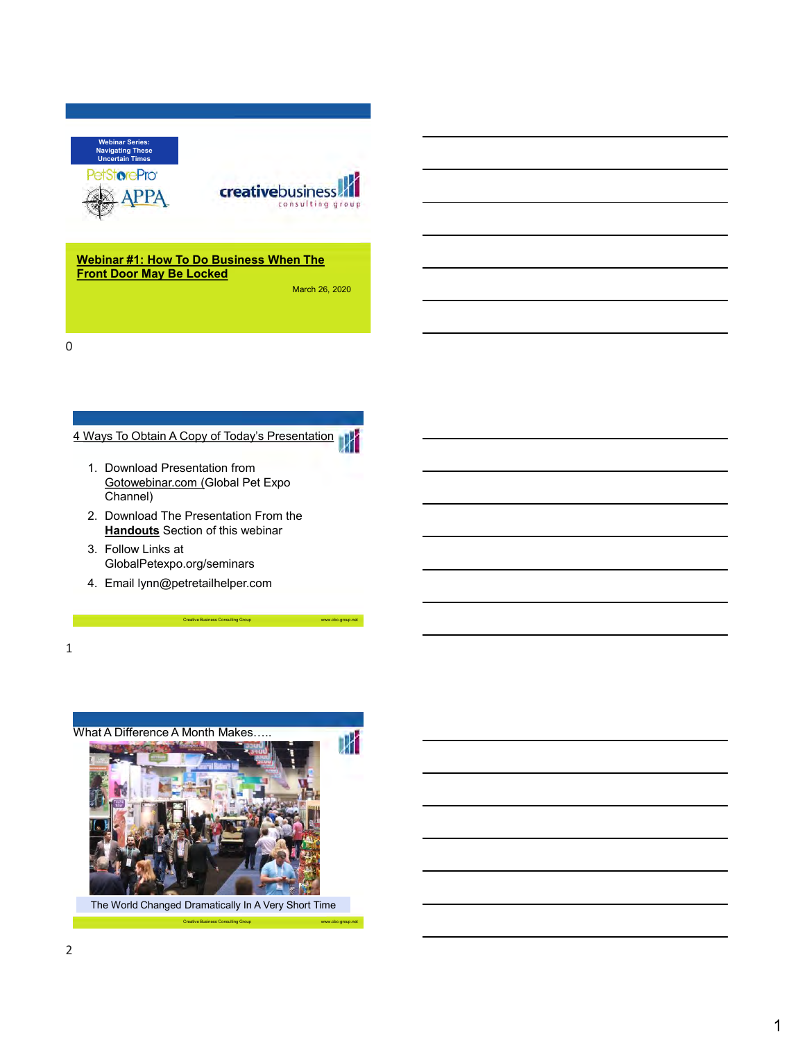



### **Webinar #1: How To Do Business When The Front Door May Be Locked**

March 26, 2020

0

# 4 Ways To Obtain A Copy of Today's Presentation



2. Download The Presentation From the **Handouts** Section of this webinar

Creative Business Consulting Group

- 3. Follow Links at GlobalPetexpo.org/seminars
- 4. Email lynn@petretailhelper.com

1

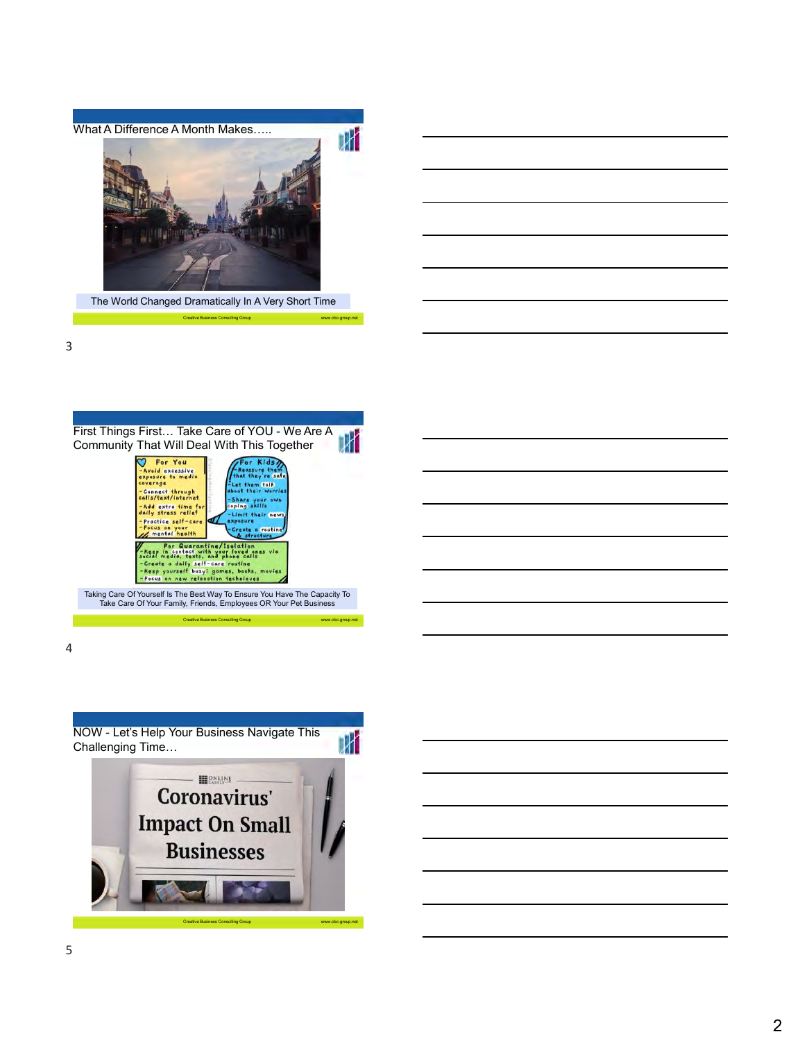

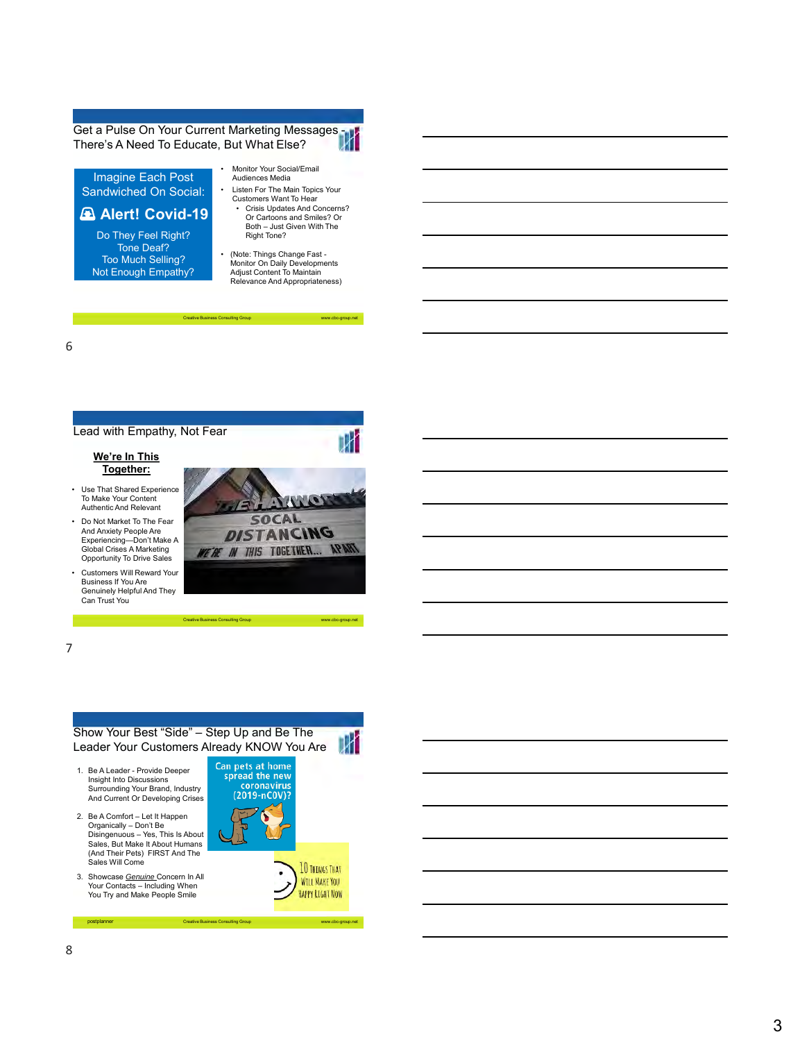Get a Pulse On Your Current Marketing Messages - There's A Need To Educate, But What Else?

Imagine Each Post Sandwiched On Social:

### **Alert! Covid-19**

Do They Feel Right? Tone Deaf? Too Much Selling? Not Enough Empathy?

- Monitor Your Social/Email Audiences Media
- Listen For The Main Topics Your Customers Want To Hear • Crisis Updates And Concerns?
	- Or Cartoons and Smiles? Or Both – Just Given With The Right Tone?

-group.net

-group.net

HAPPY RIGHT NOW

• (Note: Things Change Fast - Monitor On Daily Developments Adjust Content To Maintain Relevance And Appropriateness)

Creative Business Consulting Group www.cbc

6





postplanner Creative Business Consulting Group www.cbc www.cbc

3. Showcase *Genuine* Concern In All Your Contacts – Including When You Try and Make People Smile

8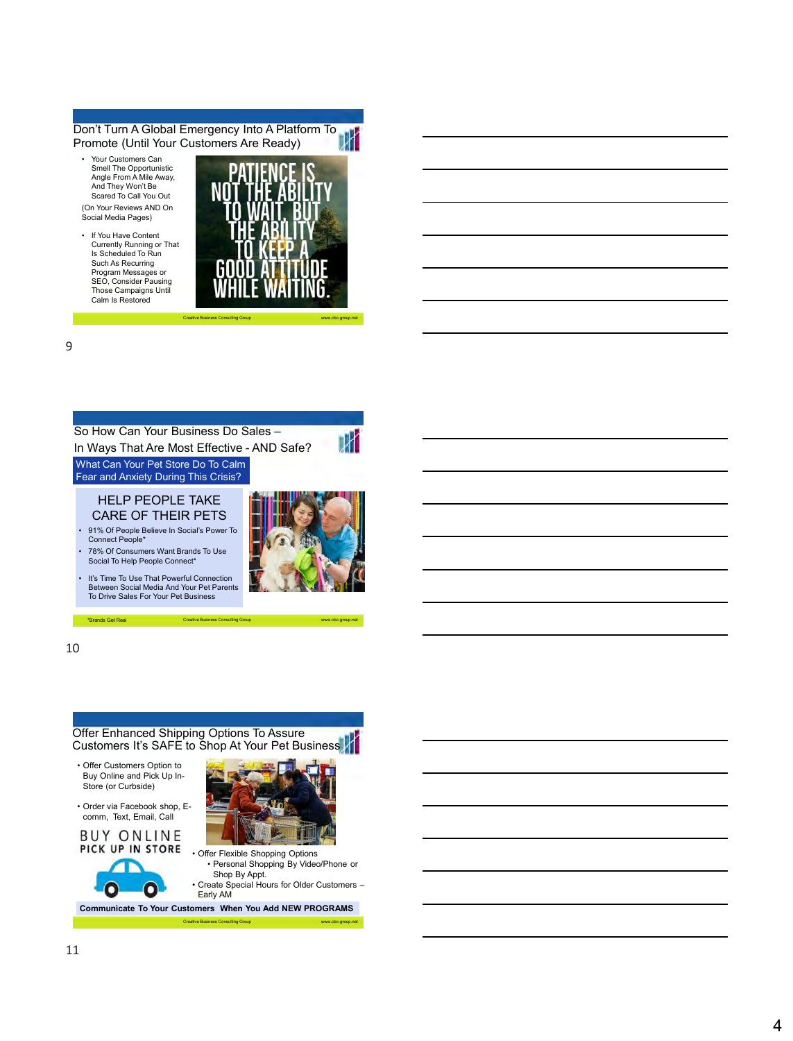### Don't Turn A Global Emergency Into A Platform To<br>Promote (Until Your Customers Are Ready) Promote (Until Your Customers Are Ready)

- Your Customers Can Smell The Opportunistic Angle From A Mile Away, And They Won't Be Scared To Call You Out
- (On Your Reviews AND On Social Media Pages)
- If You Have Content Currently Running or That Is Scheduled To Run Such As Recurring Program Messages or SEO, Consider Pausing Those Campaigns Until Calm Is Restored



Creative Business Consulting Group www.cbc-group.net

9

## So How Can Your Business Do Sales –

In Ways That Are Most Effective - AND Safe? What Can Your Pet Store Do To Calm



IЖ

### HELP PEOPLE TAKE CARE OF THEIR PETS

Fear and Anxiety During This Crisis?

• 91% Of People Believe In Social's Power To Connect People\*

• 78% Of Consumers Want Brands To Use Social To Help People Connect\*

• It's Time To Use That Powerful Connection Between Social Media And Your Pet Parents To Drive Sales For Your Pet Business



### 10

Offer Enhanced Shipping Options To Assure Customers It's SAFE to Shop At Your Pet Business • Offer Customers Option to Buy Online and Pick Up In-Store (or Curbside) • Order via Facebook shop, Ecomm, Text, Email, Call **BUY ONLINE** 

\*Brands Get Real Creative Business Consulting Group www.cbc-group.net





• Offer Flexible Shopping Options • Personal Shopping By Video/Phone or Shop By Appt. • Create Special Hours for Older Customers – Early AM

Creative Business Consulting Group www.cbc-group.net

**Communicate To Your Customers When You Add NEW PROGRAMS**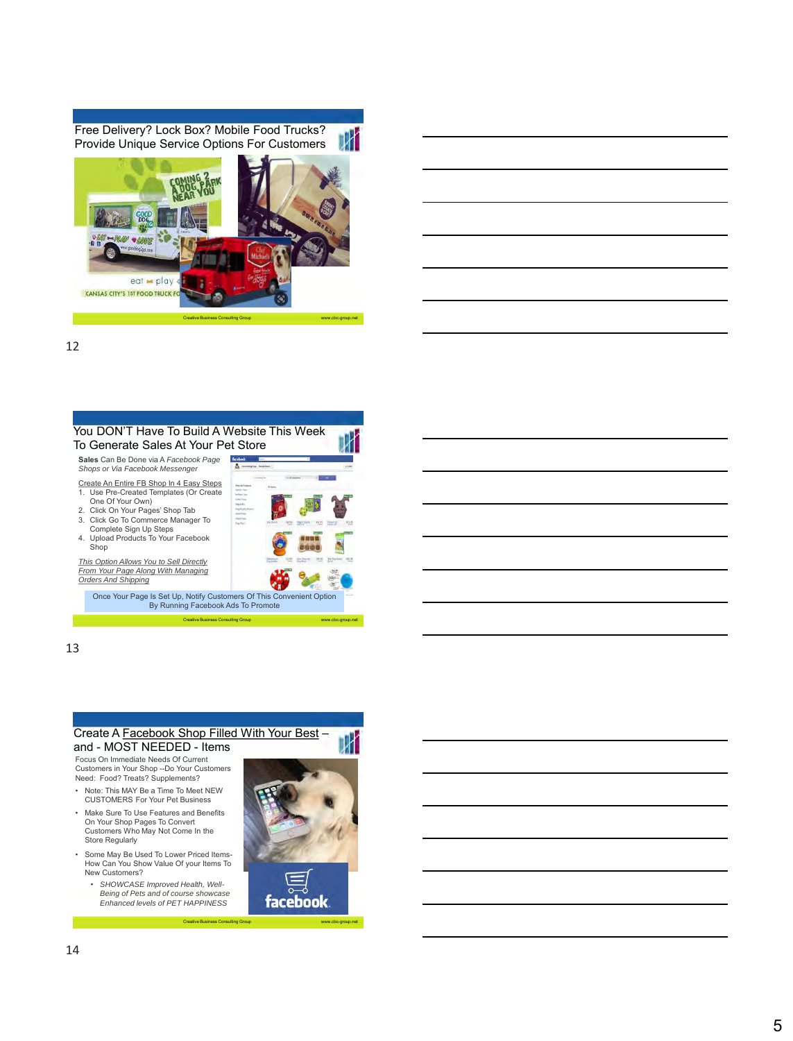Free Delivery? Lock Box? Mobile Food Trucks? DИ Provide Unique Service Options For Customers



#### 12



*This Option Allows You to Sell Directly From Your Page Along With Managing Orders And Shipping*

Once Your Page Is Set Up, Notify Customers Of This Convenient Option By Running Facebook Ads To Promote



www.cbc-group.net

Creative Business Consulting Group www.cbc-group.net

Store Regularly

New Customers?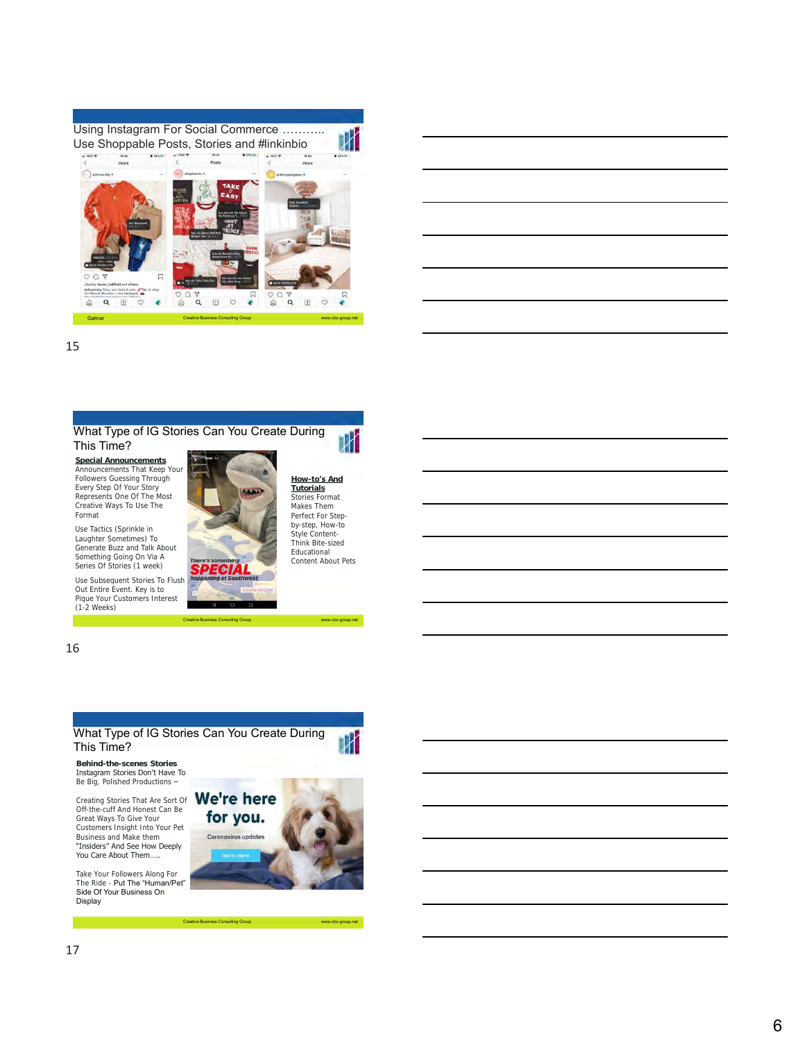Using Instagram For Social Commerce ……….. Use Shoppable Posts, Stories and #linkinbio



Gartner Creative Business Consulting Group www.cbc-group.net

|                                                    |                                                           | <u> 1989 - Johann Stoff, amerikansk politiker (d. 1989)</u> |  |
|----------------------------------------------------|-----------------------------------------------------------|-------------------------------------------------------------|--|
|                                                    | <u> 1989 - Johann Barnett, fransk politiker (d. 1989)</u> | ______                                                      |  |
| <u> 1989 - Johann Barn, amerikansk politiker (</u> |                                                           |                                                             |  |
|                                                    |                                                           |                                                             |  |

15



**Special Announcements** Announcements That Keep Your Followers Guessing Through Every Step Of Your Story Represents One Of The Most Creative Ways To Use The Format

Use Tactics (Sprinkle in Laughter Sometimes) To Generate Buzz and Talk About Something Going On Via A Series Of Stories (1 week)

Use Subsequent Stories To Flush Out Entire Event. Key is to Pique Your Customers Interest (1-2 Weeks)



Creative Business Consulting Group www.cbc-group.net

Creative Business Consulting Group www.cbc-group.net

**How-to's And Tutorials** Stories Format Makes Them Perfect For Stepby-step, How-to Style Content-Think Bite-sized Educational Content About Pets

16